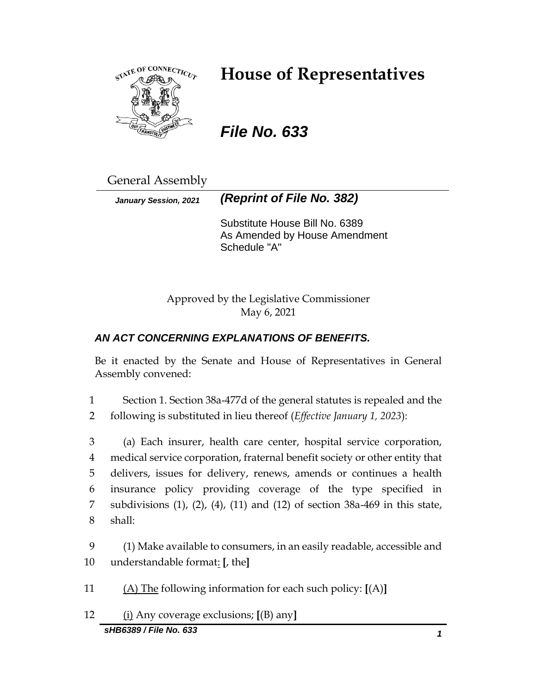

# **House of Representatives**

*File No. 633*

General Assembly

*January Session, 2021 (Reprint of File No. 382)*

Substitute House Bill No. 6389 As Amended by House Amendment Schedule "A"

Approved by the Legislative Commissioner May 6, 2021

## *AN ACT CONCERNING EXPLANATIONS OF BENEFITS.*

Be it enacted by the Senate and House of Representatives in General Assembly convened:

1 Section 1. Section 38a-477d of the general statutes is repealed and the 2 following is substituted in lieu thereof (*Effective January 1, 2023*):

 (a) Each insurer, health care center, hospital service corporation, medical service corporation, fraternal benefit society or other entity that delivers, issues for delivery, renews, amends or continues a health insurance policy providing coverage of the type specified in subdivisions (1), (2), (4), (11) and (12) of section 38a-469 in this state, 8 shall:

9 (1) Make available to consumers, in an easily readable, accessible and 10 understandable format: **[**, the**]**

11 (A) The following information for each such policy: **[**(A)**]**

12 (i) Any coverage exclusions; **[**(B) any**]**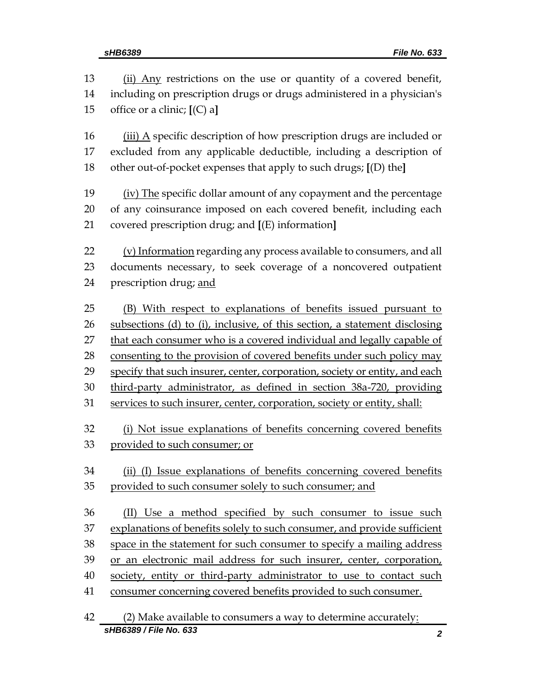13 (ii) Any restrictions on the use or quantity of a covered benefit, including on prescription drugs or drugs administered in a physician's office or a clinic; **[**(C) a**]** (iii) A specific description of how prescription drugs are included or excluded from any applicable deductible, including a description of other out-of-pocket expenses that apply to such drugs; **[**(D) the**]** (iv) The specific dollar amount of any copayment and the percentage of any coinsurance imposed on each covered benefit, including each covered prescription drug; and **[**(E) information**]** (v) Information regarding any process available to consumers, and all documents necessary, to seek coverage of a noncovered outpatient 24 prescription drug; and (B) With respect to explanations of benefits issued pursuant to subsections (d) to (i), inclusive, of this section, a statement disclosing 27 that each consumer who is a covered individual and legally capable of 28 consenting to the provision of covered benefits under such policy may 29 specify that such insurer, center, corporation, society or entity, and each third-party administrator, as defined in section 38a-720, providing services to such insurer, center, corporation, society or entity, shall: (i) Not issue explanations of benefits concerning covered benefits provided to such consumer; or (ii) (I) Issue explanations of benefits concerning covered benefits provided to such consumer solely to such consumer; and (II) Use a method specified by such consumer to issue such explanations of benefits solely to such consumer, and provide sufficient space in the statement for such consumer to specify a mailing address or an electronic mail address for such insurer, center, corporation, 40 society, entity or third-party administrator to use to contact such consumer concerning covered benefits provided to such consumer. (2) Make available to consumers a way to determine accurately: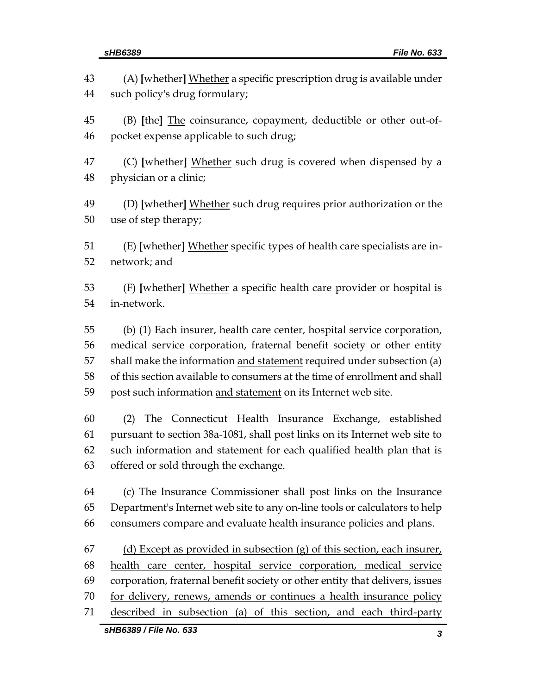|          | sHB6389 / File No. 633<br>3                                                                                    |
|----------|----------------------------------------------------------------------------------------------------------------|
| 71       | described in subsection (a) of this section, and each third-party                                              |
| 70       | for delivery, renews, amends or continues a health insurance policy                                            |
| 69       | corporation, fraternal benefit society or other entity that delivers, issues                                   |
| 68       | health care center, hospital service corporation, medical service                                              |
| 67       | (d) Except as provided in subsection $(g)$ of this section, each insurer,                                      |
| 66       | consumers compare and evaluate health insurance policies and plans.                                            |
| 65       | Department's Internet web site to any on-line tools or calculators to help                                     |
| 64       | (c) The Insurance Commissioner shall post links on the Insurance                                               |
|          |                                                                                                                |
| 62<br>63 | such information and statement for each qualified health plan that is<br>offered or sold through the exchange. |
| 61       | pursuant to section 38a-1081, shall post links on its Internet web site to                                     |
| 60       | The Connecticut Health Insurance Exchange, established<br>(2)                                                  |
|          |                                                                                                                |
| 59       | post such information and statement on its Internet web site.                                                  |
| 58       | of this section available to consumers at the time of enrollment and shall                                     |
| 57       | shall make the information and statement required under subsection (a)                                         |
| 56       | medical service corporation, fraternal benefit society or other entity                                         |
| 54<br>55 | in-network.<br>(b) (1) Each insurer, health care center, hospital service corporation,                         |
| 53       | (F) [whether] Whether a specific health care provider or hospital is                                           |
| 51<br>52 | (E) [whether] Whether specific types of health care specialists are in-<br>network; and                        |
| 49<br>50 | (D) [whether] Whether such drug requires prior authorization or the<br>use of step therapy;                    |
| 47<br>48 | (C) [whether] Whether such drug is covered when dispensed by a<br>physician or a clinic;                       |
| 45<br>46 | (B) [the] The coinsurance, copayment, deductible or other out-of-<br>pocket expense applicable to such drug;   |
| 43<br>44 | (A) [whether] Whether a specific prescription drug is available under<br>such policy's drug formulary;         |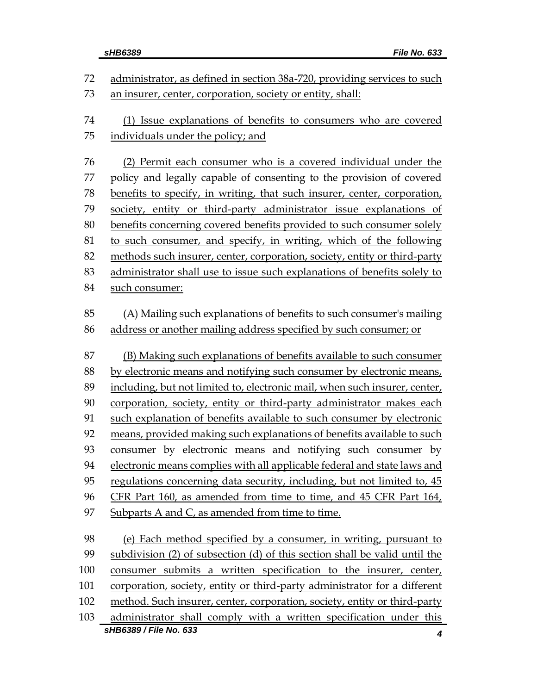| 72  | administrator, as defined in section 38a-720, providing services to such                     |
|-----|----------------------------------------------------------------------------------------------|
| 73  | an insurer, center, corporation, society or entity, shall:                                   |
|     |                                                                                              |
| 74  | (1) Issue explanations of benefits to consumers who are covered                              |
| 75  | individuals under the policy; and                                                            |
| 76  | (2) Permit each consumer who is a covered individual under the                               |
| 77  | policy and legally capable of consenting to the provision of covered                         |
| 78  | benefits to specify, in writing, that such insurer, center, corporation,                     |
| 79  | society, entity or third-party administrator issue explanations of                           |
| 80  | benefits concerning covered benefits provided to such consumer solely                        |
| 81  | to such consumer, and specify, in writing, which of the following                            |
| 82  | methods such insurer, center, corporation, society, entity or third-party                    |
| 83  | administrator shall use to issue such explanations of benefits solely to                     |
| 84  | such consumer:                                                                               |
|     |                                                                                              |
| 85  | (A) Mailing such explanations of benefits to such consumer's mailing                         |
| 86  | address or another mailing address specified by such consumer; or                            |
| 87  | (B) Making such explanations of benefits available to such consumer                          |
| 88  | by electronic means and notifying such consumer by electronic means,                         |
| 89  | including, but not limited to, electronic mail, when such insurer, center,                   |
| 90  | corporation, society, entity or third-party administrator makes each                         |
| 91  | such explanation of benefits available to such consumer by electronic                        |
| 92  | means, provided making such explanations of benefits available to such                       |
| 93  | consumer by electronic means and notifying such consumer by                                  |
| 94  | electronic means complies with all applicable federal and state laws and                     |
| 95  | regulations concerning data security, including, but not limited to, 45                      |
| 96  | CFR Part 160, as amended from time to time, and 45 CFR Part 164,                             |
| 97  | Subparts A and C, as amended from time to time.                                              |
|     |                                                                                              |
| 98  | (e) Each method specified by a consumer, in writing, pursuant to                             |
| 99  | subdivision (2) of subsection (d) of this section shall be valid until the                   |
| 100 | consumer submits a written specification to the insurer, center,                             |
| 101 | corporation, society, entity or third-party administrator for a different                    |
| 102 | method. Such insurer, center, corporation, society, entity or third-party                    |
| 103 | administrator shall comply with a written specification under this<br>sHB6389 / File No. 633 |
|     | 4                                                                                            |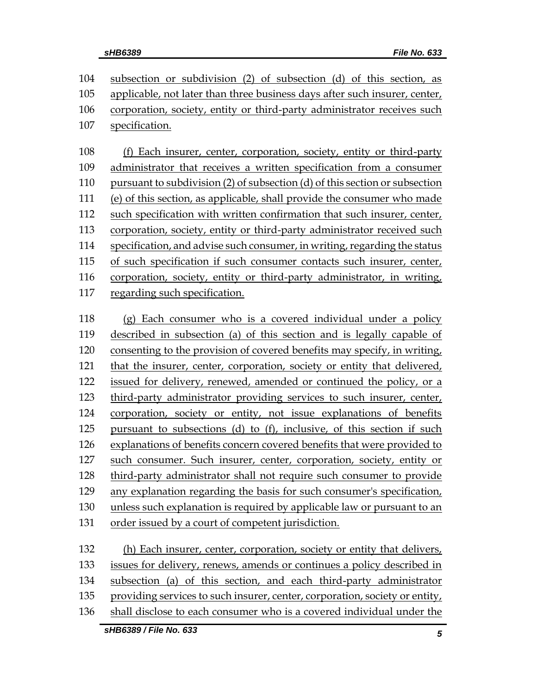subsection or subdivision (2) of subsection (d) of this section, as applicable, not later than three business days after such insurer, center, corporation, society, entity or third-party administrator receives such specification.

 (f) Each insurer, center, corporation, society, entity or third-party administrator that receives a written specification from a consumer pursuant to subdivision (2) of subsection (d) of this section or subsection (e) of this section, as applicable, shall provide the consumer who made such specification with written confirmation that such insurer, center, corporation, society, entity or third-party administrator received such specification, and advise such consumer, in writing, regarding the status of such specification if such consumer contacts such insurer, center, corporation, society, entity or third-party administrator, in writing, regarding such specification.

 (g) Each consumer who is a covered individual under a policy described in subsection (a) of this section and is legally capable of consenting to the provision of covered benefits may specify, in writing, that the insurer, center, corporation, society or entity that delivered, issued for delivery, renewed, amended or continued the policy, or a third-party administrator providing services to such insurer, center, corporation, society or entity, not issue explanations of benefits pursuant to subsections (d) to (f), inclusive, of this section if such explanations of benefits concern covered benefits that were provided to such consumer. Such insurer, center, corporation, society, entity or third-party administrator shall not require such consumer to provide any explanation regarding the basis for such consumer's specification, unless such explanation is required by applicable law or pursuant to an order issued by a court of competent jurisdiction. (h) Each insurer, center, corporation, society or entity that delivers, issues for delivery, renews, amends or continues a policy described in

 subsection (a) of this section, and each third-party administrator providing services to such insurer, center, corporation, society or entity,

shall disclose to each consumer who is a covered individual under the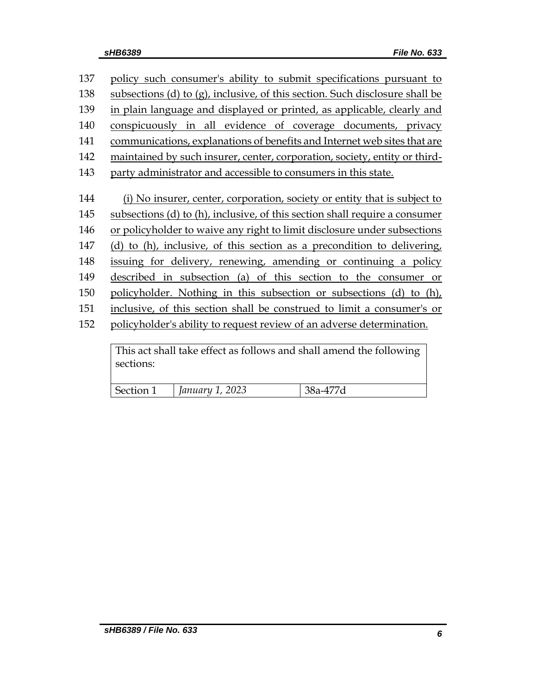| 137 | policy such consumer's ability to submit specifications pursuant to          |
|-----|------------------------------------------------------------------------------|
| 138 | subsections (d) to (g), inclusive, of this section. Such disclosure shall be |
| 139 | in plain language and displayed or printed, as applicable, clearly and       |
| 140 | conspicuously in all evidence of coverage documents, privacy                 |
| 141 | communications, explanations of benefits and Internet web sites that are     |
| 142 | maintained by such insurer, center, corporation, society, entity or third-   |
| 143 | party administrator and accessible to consumers in this state.               |
|     |                                                                              |
| 144 | (i) No insurer, center, corporation, society or entity that is subject to    |
| 145 | subsections (d) to (h), inclusive, of this section shall require a consumer  |
| 146 | or policyholder to waive any right to limit disclosure under subsections     |
| 147 | (d) to (h), inclusive, of this section as a precondition to delivering,      |
| 148 | issuing for delivery, renewing, amending or continuing a policy              |
| 149 | described in subsection (a) of this section to the consumer or               |
| 150 | policyholder. Nothing in this subsection or subsections (d) to (h),          |
| 151 | inclusive, of this section shall be construed to limit a consumer's or       |
| 152 | policyholder's ability to request review of an adverse determination.        |
|     |                                                                              |
|     | This act shall take effect as follows and shall amend the following          |

This act shall take effect as follows and shall amend the following sections:

|--|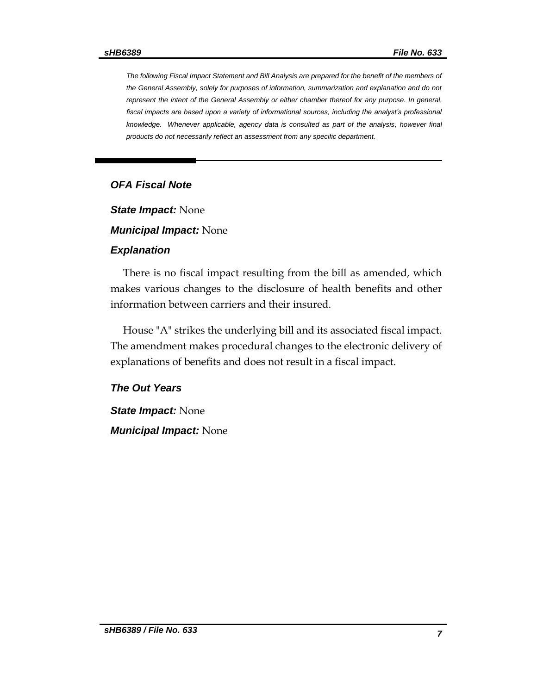*The following Fiscal Impact Statement and Bill Analysis are prepared for the benefit of the members of the General Assembly, solely for purposes of information, summarization and explanation and do not represent the intent of the General Assembly or either chamber thereof for any purpose. In general,*  fiscal impacts are based upon a variety of informational sources, including the analyst's professional *knowledge. Whenever applicable, agency data is consulted as part of the analysis, however final products do not necessarily reflect an assessment from any specific department.*

### *OFA Fiscal Note*

*State Impact:* None

*Municipal Impact:* None

#### *Explanation*

There is no fiscal impact resulting from the bill as amended, which makes various changes to the disclosure of health benefits and other information between carriers and their insured.

House "A" strikes the underlying bill and its associated fiscal impact. The amendment makes procedural changes to the electronic delivery of explanations of benefits and does not result in a fiscal impact.

### *The Out Years*

*State Impact:* None *Municipal Impact:* None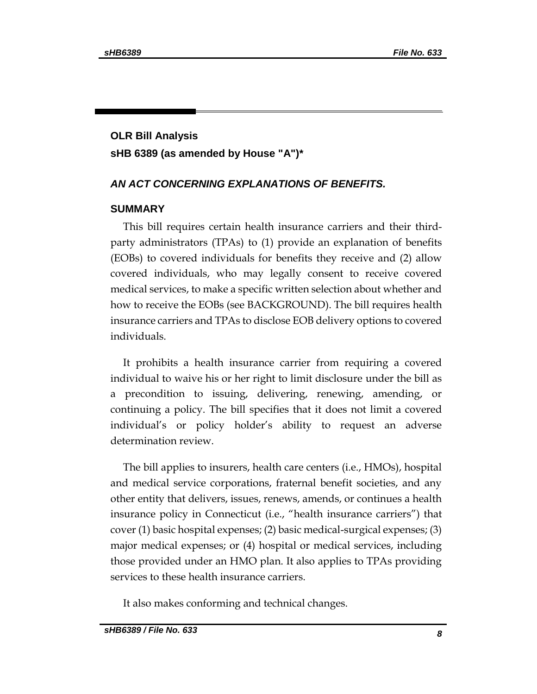# **OLR Bill Analysis sHB 6389 (as amended by House "A")\***

### *AN ACT CONCERNING EXPLANATIONS OF BENEFITS.*

### **SUMMARY**

This bill requires certain health insurance carriers and their thirdparty administrators (TPAs) to (1) provide an explanation of benefits (EOBs) to covered individuals for benefits they receive and (2) allow covered individuals, who may legally consent to receive covered medical services, to make a specific written selection about whether and how to receive the EOBs (see BACKGROUND). The bill requires health insurance carriers and TPAs to disclose EOB delivery options to covered individuals.

It prohibits a health insurance carrier from requiring a covered individual to waive his or her right to limit disclosure under the bill as a precondition to issuing, delivering, renewing, amending, or continuing a policy. The bill specifies that it does not limit a covered individual's or policy holder's ability to request an adverse determination review.

The bill applies to insurers, health care centers (i.e., HMOs), hospital and medical service corporations, fraternal benefit societies, and any other entity that delivers, issues, renews, amends, or continues a health insurance policy in Connecticut (i.e., "health insurance carriers") that cover (1) basic hospital expenses; (2) basic medical-surgical expenses; (3) major medical expenses; or (4) hospital or medical services, including those provided under an HMO plan. It also applies to TPAs providing services to these health insurance carriers.

It also makes conforming and technical changes.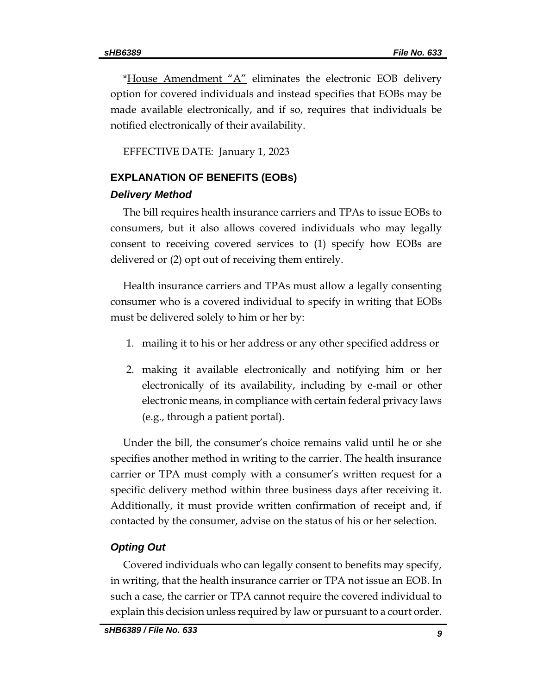\*House Amendment " $A$ " eliminates the electronic EOB delivery option for covered individuals and instead specifies that EOBs may be made available electronically, and if so, requires that individuals be notified electronically of their availability.

EFFECTIVE DATE: January 1, 2023

# **EXPLANATION OF BENEFITS (EOBs)**

### *Delivery Method*

The bill requires health insurance carriers and TPAs to issue EOBs to consumers, but it also allows covered individuals who may legally consent to receiving covered services to (1) specify how EOBs are delivered or (2) opt out of receiving them entirely.

Health insurance carriers and TPAs must allow a legally consenting consumer who is a covered individual to specify in writing that EOBs must be delivered solely to him or her by:

- 1. mailing it to his or her address or any other specified address or
- 2. making it available electronically and notifying him or her electronically of its availability, including by e-mail or other electronic means, in compliance with certain federal privacy laws (e.g., through a patient portal).

Under the bill, the consumer's choice remains valid until he or she specifies another method in writing to the carrier. The health insurance carrier or TPA must comply with a consumer's written request for a specific delivery method within three business days after receiving it. Additionally, it must provide written confirmation of receipt and, if contacted by the consumer, advise on the status of his or her selection.

### *Opting Out*

Covered individuals who can legally consent to benefits may specify, in writing, that the health insurance carrier or TPA not issue an EOB. In such a case, the carrier or TPA cannot require the covered individual to explain this decision unless required by law or pursuant to a court order.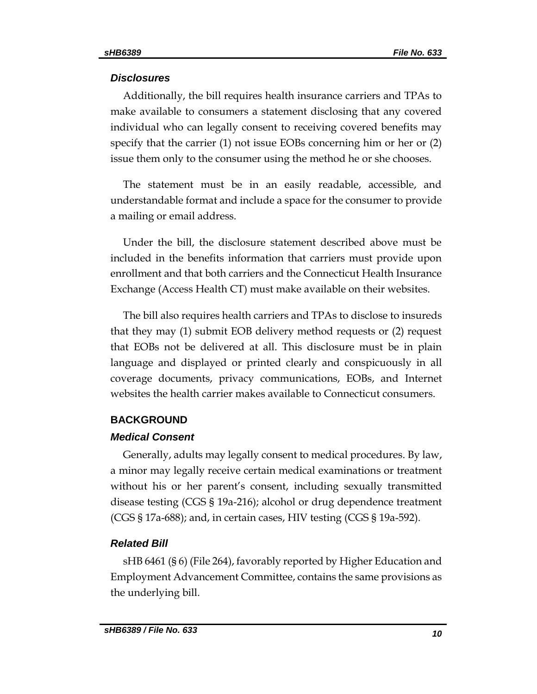### *Disclosures*

Additionally, the bill requires health insurance carriers and TPAs to make available to consumers a statement disclosing that any covered individual who can legally consent to receiving covered benefits may specify that the carrier (1) not issue EOBs concerning him or her or (2) issue them only to the consumer using the method he or she chooses.

The statement must be in an easily readable, accessible, and understandable format and include a space for the consumer to provide a mailing or email address.

Under the bill, the disclosure statement described above must be included in the benefits information that carriers must provide upon enrollment and that both carriers and the Connecticut Health Insurance Exchange (Access Health CT) must make available on their websites.

The bill also requires health carriers and TPAs to disclose to insureds that they may (1) submit EOB delivery method requests or (2) request that EOBs not be delivered at all. This disclosure must be in plain language and displayed or printed clearly and conspicuously in all coverage documents, privacy communications, EOBs, and Internet websites the health carrier makes available to Connecticut consumers.

### **BACKGROUND**

### *Medical Consent*

Generally, adults may legally consent to medical procedures. By law, a minor may legally receive certain medical examinations or treatment without his or her parent's consent, including sexually transmitted disease testing (CGS § 19a-216); alcohol or drug dependence treatment (CGS § 17a-688); and, in certain cases, HIV testing (CGS § 19a-592).

### *Related Bill*

sHB 6461 (§ 6) (File 264), favorably reported by Higher Education and Employment Advancement Committee, contains the same provisions as the underlying bill.